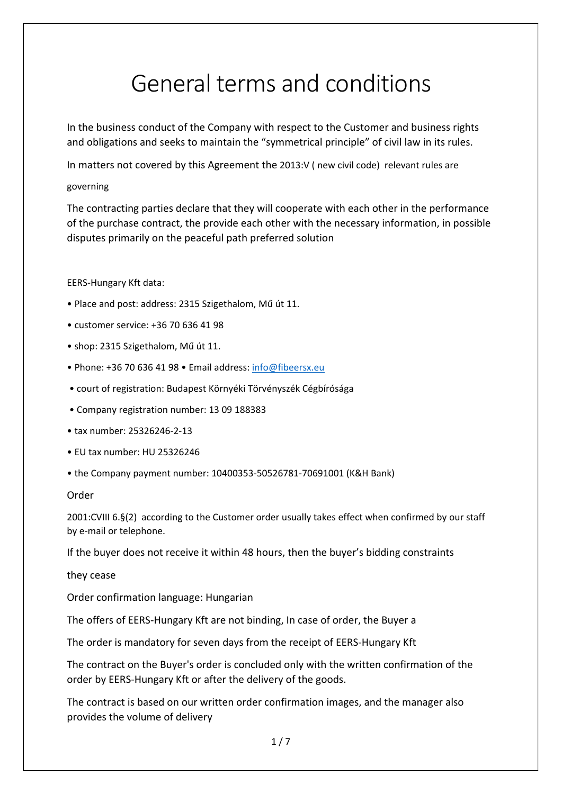# General terms and conditions

In the business conduct of the Company with respect to the Customer and business rights and obligations and seeks to maintain the "symmetrical principle" of civil law in its rules.

In matters not covered by this Agreement the 2013:V ( new civil code) relevant rules are

## governing

The contracting parties declare that they will cooperate with each other in the performance of the purchase contract, the provide each other with the necessary information, in possible disputes primarily on the peaceful path preferred solution

## EERS‐Hungary Kft data:

- Place and post: address: 2315 Szigethalom, Mű út 11.
- customer service: +36 70 636 41 98
- shop: 2315 Szigethalom, Mű út 11.
- Phone: +36 70 636 41 98 Email address: info@fibeersx.eu
- court of registration: Budapest Környéki Törvényszék Cégbírósága
- Company registration number: 13 09 188383
- tax number: 25326246‐2‐13
- EU tax number: HU 25326246
- the Company payment number: 10400353‐50526781‐70691001 (K&H Bank)

### Order

2001:CVIII 6.§(2) according to the Customer order usually takes effect when confirmed by our staff by e‐mail or telephone.

If the buyer does not receive it within 48 hours, then the buyer's bidding constraints

they cease

Order confirmation language: Hungarian

The offers of EERS‐Hungary Kft are not binding, In case of order, the Buyer a

The order is mandatory for seven days from the receipt of EERS‐Hungary Kft

The contract on the Buyer's order is concluded only with the written confirmation of the order by EERS‐Hungary Kft or after the delivery of the goods.

The contract is based on our written order confirmation images, and the manager also provides the volume of delivery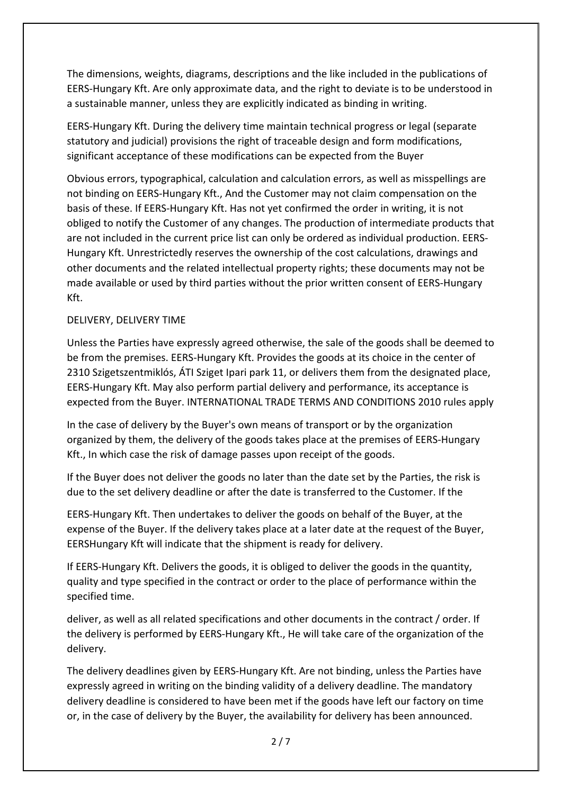The dimensions, weights, diagrams, descriptions and the like included in the publications of EERS‐Hungary Kft. Are only approximate data, and the right to deviate is to be understood in a sustainable manner, unless they are explicitly indicated as binding in writing.

EERS‐Hungary Kft. During the delivery time maintain technical progress or legal (separate statutory and judicial) provisions the right of traceable design and form modifications, significant acceptance of these modifications can be expected from the Buyer

Obvious errors, typographical, calculation and calculation errors, as well as misspellings are not binding on EERS‐Hungary Kft., And the Customer may not claim compensation on the basis of these. If EERS‐Hungary Kft. Has not yet confirmed the order in writing, it is not obliged to notify the Customer of any changes. The production of intermediate products that are not included in the current price list can only be ordered as individual production. EERS‐ Hungary Kft. Unrestrictedly reserves the ownership of the cost calculations, drawings and other documents and the related intellectual property rights; these documents may not be made available or used by third parties without the prior written consent of EERS‐Hungary Kft.

## DELIVERY, DELIVERY TIME

Unless the Parties have expressly agreed otherwise, the sale of the goods shall be deemed to be from the premises. EERS‐Hungary Kft. Provides the goods at its choice in the center of 2310 Szigetszentmiklós, ÁTI Sziget Ipari park 11, or delivers them from the designated place, EERS‐Hungary Kft. May also perform partial delivery and performance, its acceptance is expected from the Buyer. INTERNATIONAL TRADE TERMS AND CONDITIONS 2010 rules apply

In the case of delivery by the Buyer's own means of transport or by the organization organized by them, the delivery of the goods takes place at the premises of EERS‐Hungary Kft., In which case the risk of damage passes upon receipt of the goods.

If the Buyer does not deliver the goods no later than the date set by the Parties, the risk is due to the set delivery deadline or after the date is transferred to the Customer. If the

EERS‐Hungary Kft. Then undertakes to deliver the goods on behalf of the Buyer, at the expense of the Buyer. If the delivery takes place at a later date at the request of the Buyer, EERSHungary Kft will indicate that the shipment is ready for delivery.

If EERS‐Hungary Kft. Delivers the goods, it is obliged to deliver the goods in the quantity, quality and type specified in the contract or order to the place of performance within the specified time.

deliver, as well as all related specifications and other documents in the contract / order. If the delivery is performed by EERS‐Hungary Kft., He will take care of the organization of the delivery.

The delivery deadlines given by EERS‐Hungary Kft. Are not binding, unless the Parties have expressly agreed in writing on the binding validity of a delivery deadline. The mandatory delivery deadline is considered to have been met if the goods have left our factory on time or, in the case of delivery by the Buyer, the availability for delivery has been announced.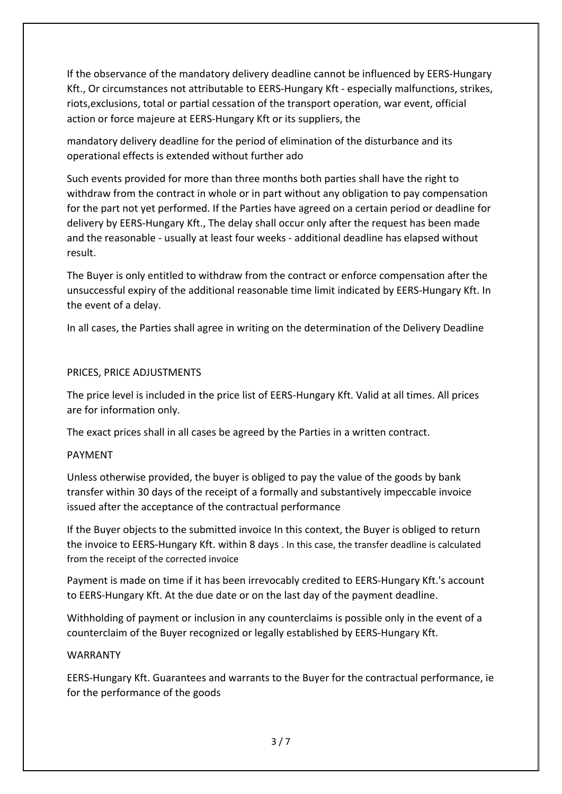If the observance of the mandatory delivery deadline cannot be influenced by EERS‐Hungary Kft., Or circumstances not attributable to EERS-Hungary Kft - especially malfunctions, strikes, riots,exclusions, total or partial cessation of the transport operation, war event, official action or force majeure at EERS‐Hungary Kft or its suppliers, the

mandatory delivery deadline for the period of elimination of the disturbance and its operational effects is extended without further ado

Such events provided for more than three months both parties shall have the right to withdraw from the contract in whole or in part without any obligation to pay compensation for the part not yet performed. If the Parties have agreed on a certain period or deadline for delivery by EERS‐Hungary Kft., The delay shall occur only after the request has been made and the reasonable ‐ usually at least four weeks ‐ additional deadline has elapsed without result.

The Buyer is only entitled to withdraw from the contract or enforce compensation after the unsuccessful expiry of the additional reasonable time limit indicated by EERS‐Hungary Kft. In the event of a delay.

In all cases, the Parties shall agree in writing on the determination of the Delivery Deadline

## PRICES, PRICE ADJUSTMENTS

The price level is included in the price list of EERS-Hungary Kft. Valid at all times. All prices are for information only.

The exact prices shall in all cases be agreed by the Parties in a written contract.

## PAYMENT

Unless otherwise provided, the buyer is obliged to pay the value of the goods by bank transfer within 30 days of the receipt of a formally and substantively impeccable invoice issued after the acceptance of the contractual performance

If the Buyer objects to the submitted invoice In this context, the Buyer is obliged to return the invoice to EERS‐Hungary Kft. within 8 days . In this case, the transfer deadline is calculated from the receipt of the corrected invoice

Payment is made on time if it has been irrevocably credited to EERS‐Hungary Kft.'s account to EERS‐Hungary Kft. At the due date or on the last day of the payment deadline.

Withholding of payment or inclusion in any counterclaims is possible only in the event of a counterclaim of the Buyer recognized or legally established by EERS‐Hungary Kft.

## WARRANTY

EERS‐Hungary Kft. Guarantees and warrants to the Buyer for the contractual performance, ie for the performance of the goods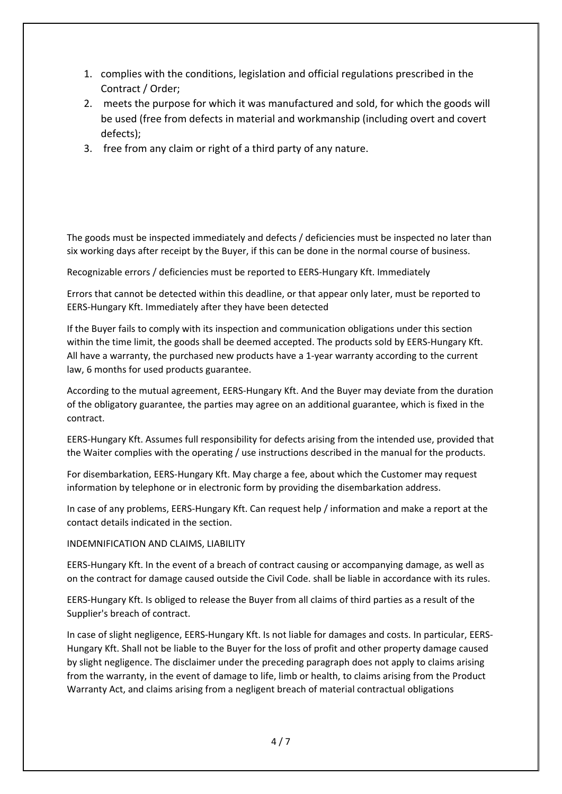- 1. complies with the conditions, legislation and official regulations prescribed in the Contract / Order;
- 2. meets the purpose for which it was manufactured and sold, for which the goods will be used (free from defects in material and workmanship (including overt and covert defects);
- 3. free from any claim or right of a third party of any nature.

The goods must be inspected immediately and defects / deficiencies must be inspected no later than six working days after receipt by the Buyer, if this can be done in the normal course of business.

Recognizable errors / deficiencies must be reported to EERS‐Hungary Kft. Immediately

Errors that cannot be detected within this deadline, or that appear only later, must be reported to EERS‐Hungary Kft. Immediately after they have been detected

If the Buyer fails to comply with its inspection and communication obligations under this section within the time limit, the goods shall be deemed accepted. The products sold by EERS-Hungary Kft. All have a warranty, the purchased new products have a 1-year warranty according to the current law, 6 months for used products guarantee.

According to the mutual agreement, EERS‐Hungary Kft. And the Buyer may deviate from the duration of the obligatory guarantee, the parties may agree on an additional guarantee, which is fixed in the contract.

EERS‐Hungary Kft. Assumes full responsibility for defects arising from the intended use, provided that the Waiter complies with the operating / use instructions described in the manual for the products.

For disembarkation, EERS‐Hungary Kft. May charge a fee, about which the Customer may request information by telephone or in electronic form by providing the disembarkation address.

In case of any problems, EERS‐Hungary Kft. Can request help / information and make a report at the contact details indicated in the section.

#### INDEMNIFICATION AND CLAIMS, LIABILITY

EERS‐Hungary Kft. In the event of a breach of contract causing or accompanying damage, as well as on the contract for damage caused outside the Civil Code. shall be liable in accordance with its rules.

EERS‐Hungary Kft. Is obliged to release the Buyer from all claims of third parties as a result of the Supplier's breach of contract.

In case of slight negligence, EERS‐Hungary Kft. Is not liable for damages and costs. In particular, EERS‐ Hungary Kft. Shall not be liable to the Buyer for the loss of profit and other property damage caused by slight negligence. The disclaimer under the preceding paragraph does not apply to claims arising from the warranty, in the event of damage to life, limb or health, to claims arising from the Product Warranty Act, and claims arising from a negligent breach of material contractual obligations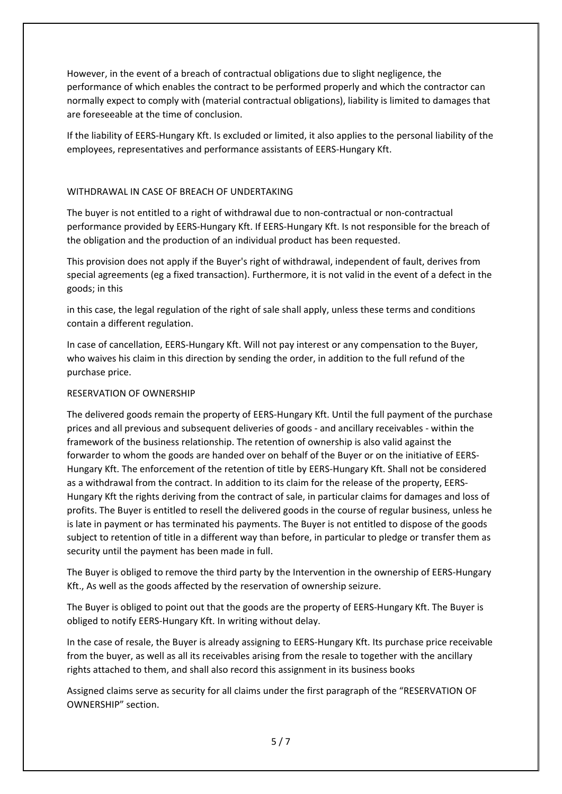However, in the event of a breach of contractual obligations due to slight negligence, the performance of which enables the contract to be performed properly and which the contractor can normally expect to comply with (material contractual obligations), liability is limited to damages that are foreseeable at the time of conclusion.

If the liability of EERS‐Hungary Kft. Is excluded or limited, it also applies to the personal liability of the employees, representatives and performance assistants of EERS‐Hungary Kft.

#### WITHDRAWAL IN CASE OF BREACH OF UNDERTAKING

The buyer is not entitled to a right of withdrawal due to non‐contractual or non‐contractual performance provided by EERS‐Hungary Kft. If EERS‐Hungary Kft. Is not responsible for the breach of the obligation and the production of an individual product has been requested.

This provision does not apply if the Buyer's right of withdrawal, independent of fault, derives from special agreements (eg a fixed transaction). Furthermore, it is not valid in the event of a defect in the goods; in this

in this case, the legal regulation of the right of sale shall apply, unless these terms and conditions contain a different regulation.

In case of cancellation, EERS‐Hungary Kft. Will not pay interest or any compensation to the Buyer, who waives his claim in this direction by sending the order, in addition to the full refund of the purchase price.

#### RESERVATION OF OWNERSHIP

The delivered goods remain the property of EERS‐Hungary Kft. Until the full payment of the purchase prices and all previous and subsequent deliveries of goods ‐ and ancillary receivables ‐ within the framework of the business relationship. The retention of ownership is also valid against the forwarder to whom the goods are handed over on behalf of the Buyer or on the initiative of EERS‐ Hungary Kft. The enforcement of the retention of title by EERS‐Hungary Kft. Shall not be considered as a withdrawal from the contract. In addition to its claim for the release of the property, EERS‐ Hungary Kft the rights deriving from the contract of sale, in particular claims for damages and loss of profits. The Buyer is entitled to resell the delivered goods in the course of regular business, unless he is late in payment or has terminated his payments. The Buyer is not entitled to dispose of the goods subject to retention of title in a different way than before, in particular to pledge or transfer them as security until the payment has been made in full.

The Buyer is obliged to remove the third party by the Intervention in the ownership of EERS-Hungary Kft., As well as the goods affected by the reservation of ownership seizure.

The Buyer is obliged to point out that the goods are the property of EERS‐Hungary Kft. The Buyer is obliged to notify EERS‐Hungary Kft. In writing without delay.

In the case of resale, the Buyer is already assigning to EERS‐Hungary Kft. Its purchase price receivable from the buyer, as well as all its receivables arising from the resale to together with the ancillary rights attached to them, and shall also record this assignment in its business books

Assigned claims serve as security for all claims under the first paragraph of the "RESERVATION OF OWNERSHIP" section.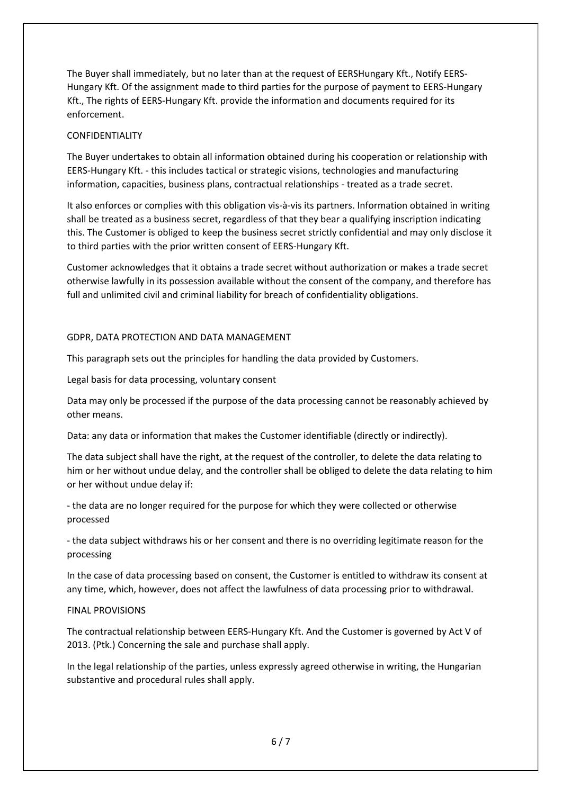The Buyer shall immediately, but no later than at the request of EERSHungary Kft., Notify EERS‐ Hungary Kft. Of the assignment made to third parties for the purpose of payment to EERS‐Hungary Kft., The rights of EERS-Hungary Kft. provide the information and documents required for its enforcement.

#### CONFIDENTIALITY

The Buyer undertakes to obtain all information obtained during his cooperation or relationship with EERS‐Hungary Kft. ‐ this includes tactical or strategic visions, technologies and manufacturing information, capacities, business plans, contractual relationships ‐ treated as a trade secret.

It also enforces or complies with this obligation vis‐à‐vis its partners. Information obtained in writing shall be treated as a business secret, regardless of that they bear a qualifying inscription indicating this. The Customer is obliged to keep the business secret strictly confidential and may only disclose it to third parties with the prior written consent of EERS‐Hungary Kft.

Customer acknowledges that it obtains a trade secret without authorization or makes a trade secret otherwise lawfully in its possession available without the consent of the company, and therefore has full and unlimited civil and criminal liability for breach of confidentiality obligations.

#### GDPR, DATA PROTECTION AND DATA MANAGEMENT

This paragraph sets out the principles for handling the data provided by Customers.

Legal basis for data processing, voluntary consent

Data may only be processed if the purpose of the data processing cannot be reasonably achieved by other means.

Data: any data or information that makes the Customer identifiable (directly or indirectly).

The data subject shall have the right, at the request of the controller, to delete the data relating to him or her without undue delay, and the controller shall be obliged to delete the data relating to him or her without undue delay if:

‐ the data are no longer required for the purpose for which they were collected or otherwise processed

‐ the data subject withdraws his or her consent and there is no overriding legitimate reason for the processing

In the case of data processing based on consent, the Customer is entitled to withdraw its consent at any time, which, however, does not affect the lawfulness of data processing prior to withdrawal.

#### FINAL PROVISIONS

The contractual relationship between EERS‐Hungary Kft. And the Customer is governed by Act V of 2013. (Ptk.) Concerning the sale and purchase shall apply.

In the legal relationship of the parties, unless expressly agreed otherwise in writing, the Hungarian substantive and procedural rules shall apply.